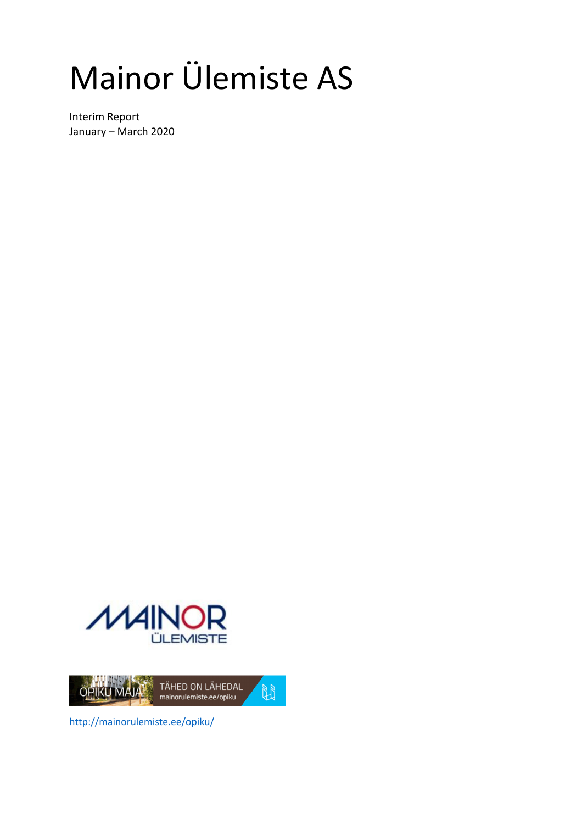# Mainor Ülemiste AS

Interim Report January – March 2020





http://mainorulemiste.ee/opiku/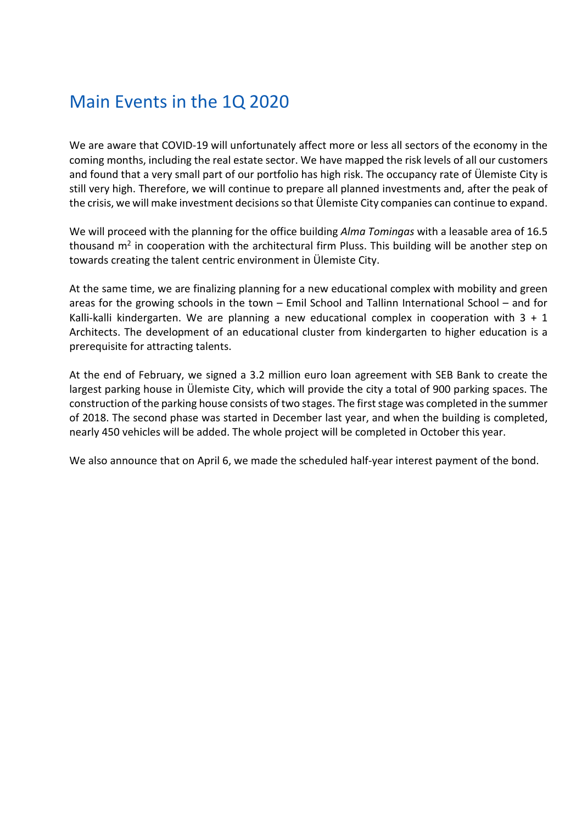## Main Events in the 1Q 2020

We are aware that COVID-19 will unfortunately affect more or less all sectors of the economy in the coming months, including the real estate sector. We have mapped the risk levels of all our customers and found that a very small part of our portfolio has high risk. The occupancy rate of Ülemiste City is still very high. Therefore, we will continue to prepare all planned investments and, after the peak of the crisis, we will make investment decisions so that Ülemiste City companies can continue to expand.

We will proceed with the planning for the office building *Alma Tomingas* with a leasable area of 16.5 thousand  $m^2$  in cooperation with the architectural firm Pluss. This building will be another step on towards creating the talent centric environment in Ülemiste City.

At the same time, we are finalizing planning for a new educational complex with mobility and green areas for the growing schools in the town – Emil School and Tallinn International School – and for Kalli-kalli kindergarten. We are planning a new educational complex in cooperation with  $3 + 1$ Architects. The development of an educational cluster from kindergarten to higher education is a prerequisite for attracting talents.

At the end of February, we signed a 3.2 million euro loan agreement with SEB Bank to create the largest parking house in Ülemiste City, which will provide the city a total of 900 parking spaces. The construction of the parking house consists of two stages. The first stage was completed in the summer of 2018. The second phase was started in December last year, and when the building is completed, nearly 450 vehicles will be added. The whole project will be completed in October this year.

We also announce that on April 6, we made the scheduled half-year interest payment of the bond.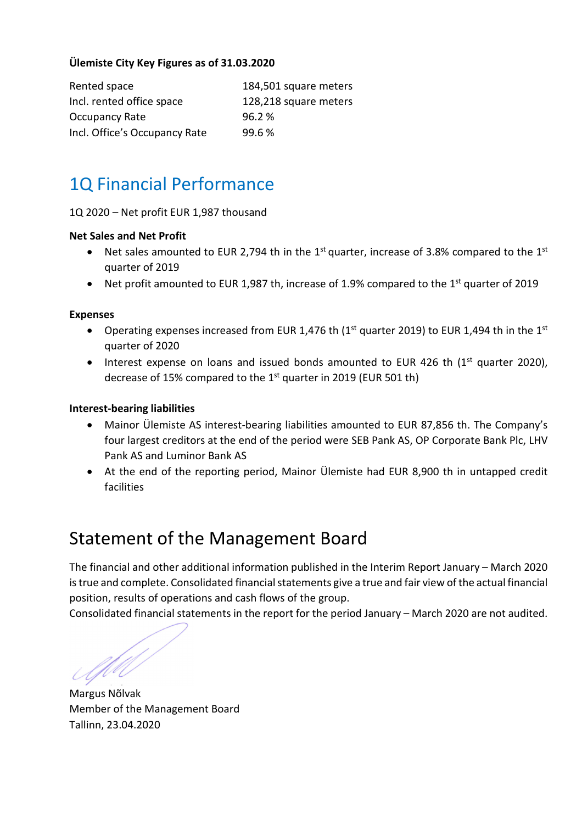### **Ülemiste City Key Figures as of 31.03.2020**

| Rented space                  | 184,501 square meters |
|-------------------------------|-----------------------|
| Incl. rented office space     | 128,218 square meters |
| <b>Occupancy Rate</b>         | 96.2%                 |
| Incl. Office's Occupancy Rate | 99.6%                 |

# 1Q Financial Performance

1Q 2020 – Net profit EUR 1,987 thousand

#### **Net Sales and Net Profit**

- Net sales amounted to EUR 2,794 th in the 1<sup>st</sup> quarter, increase of 3.8% compared to the 1<sup>st</sup> quarter of 2019
- Net profit amounted to EUR 1,987 th, increase of 1.9% compared to the 1<sup>st</sup> quarter of 2019

#### **Expenses**

- Operating expenses increased from EUR 1,476 th ( $1<sup>st</sup>$  quarter 2019) to EUR 1,494 th in the  $1<sup>st</sup>$ quarter of 2020
- Interest expense on loans and issued bonds amounted to EUR 426 th  $(1<sup>st</sup>$  quarter 2020), decrease of 15% compared to the 1<sup>st</sup> quarter in 2019 (EUR 501 th)

#### **Interest-bearing liabilities**

- Mainor Ülemiste AS interest-bearing liabilities amounted to EUR 87,856 th. The Company's four largest creditors at the end of the period were SEB Pank AS, OP Corporate Bank Plc, LHV Pank AS and Luminor Bank AS
- At the end of the reporting period, Mainor Ülemiste had EUR 8,900 th in untapped credit facilities

## Statement of the Management Board

The financial and other additional information published in the Interim Report January – March 2020 is true and complete. Consolidated financial statements give a true and fair view of the actual financial position, results of operations and cash flows of the group.

Consolidated financial statements in the report for the period January – March 2020 are not audited.

UU

Margus Nõlvak Member of the Management Board Tallinn, 23.04.2020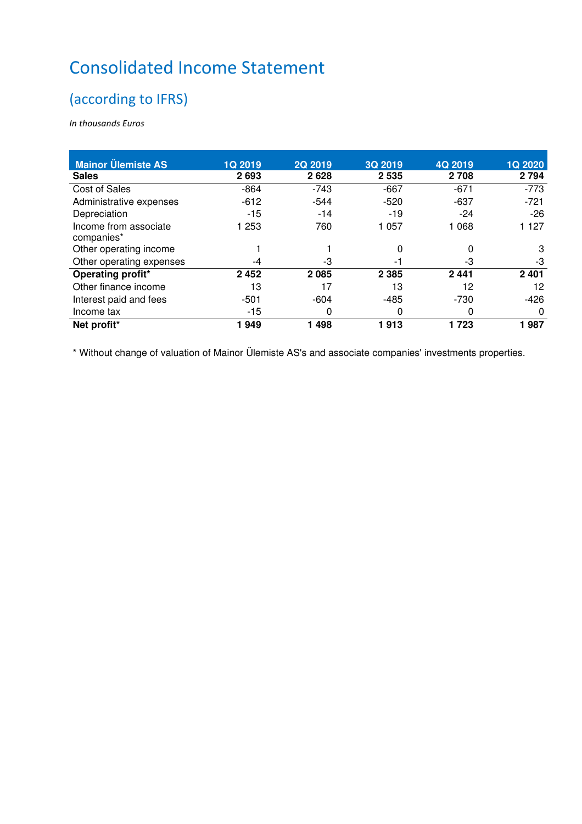# Consolidated Income Statement

## (according to IFRS)

*In thousands Euros* 

| <b>Mainor Ülemiste AS</b>           | <b>1Q 2019</b> | <b>2Q 2019</b> | 3Q 2019 | 4Q 2019 | <b>1Q 2020</b> |
|-------------------------------------|----------------|----------------|---------|---------|----------------|
| <b>Sales</b>                        | 2693           | 2628           | 2 5 3 5 | 2 708   | 2 7 9 4        |
| Cost of Sales                       | $-864$         | $-743$         | $-667$  | $-671$  | $-773$         |
| Administrative expenses             | $-612$         | $-544$         | $-520$  | $-637$  | $-721$         |
| Depreciation                        | $-15$          | $-14$          | $-19$   | $-24$   | $-26$          |
| Income from associate<br>companies* | 1 253          | 760            | 1 0 5 7 | 1 068   | 1 1 2 7        |
| Other operating income              |                |                | 0       | 0       | 3              |
| Other operating expenses            | -4             | -3             | -1      | -3      | -3             |
| Operating profit*                   | 2452           | 2085           | 2 3 8 5 | 2 4 4 1 | 2 4 0 1        |
| Other finance income                | 13             | 17             | 13      | 12      | 12             |
| Interest paid and fees              | $-501$         | $-604$         | -485    | $-730$  | -426           |
| Income tax                          | $-15$          | 0              | 0       | 0       | $\Omega$       |
| Net profit*                         | 1949           | 1498           | 1913    | 1 723   | 1987           |

\* Without change of valuation of Mainor Ülemiste AS's and associate companies' investments properties.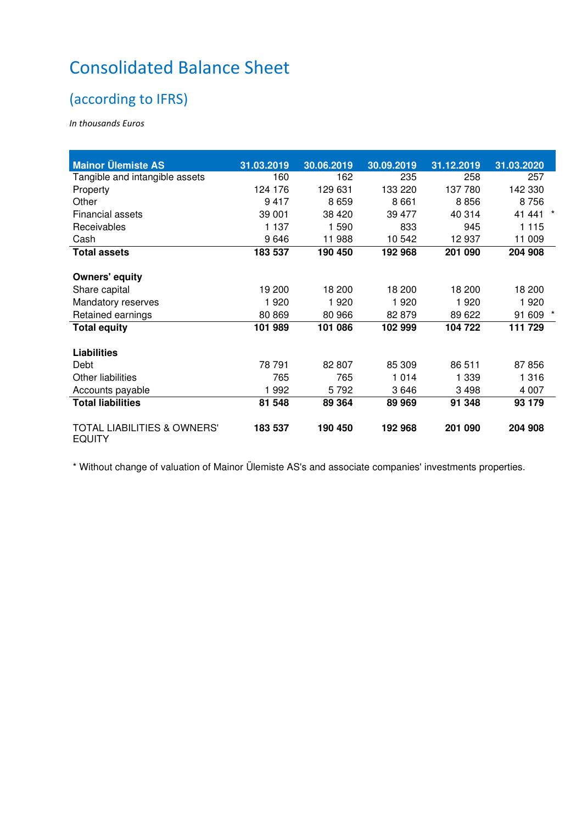# Consolidated Balance Sheet

## (according to IFRS)

*In thousands Euros* 

| <b>Mainor Ülemiste AS</b>                               | 31.03.2019 | 30.06.2019 | 30.09.2019 | 31.12.2019 | 31.03.2020 |
|---------------------------------------------------------|------------|------------|------------|------------|------------|
| Tangible and intangible assets                          | 160        | 162        | 235        | 258        | 257        |
| Property                                                | 124 176    | 129 631    | 133 220    | 137 780    | 142 330    |
| Other                                                   | 9417       | 8659       | 8661       | 8856       | 8756       |
| Financial assets                                        | 39 001     | 38 4 20    | 39 477     | 40 314     | 41 441     |
| Receivables                                             | 1 1 3 7    | 1 590      | 833        | 945        | 1 1 1 5    |
| Cash                                                    | 9646       | 11 988     | 10 542     | 12 937     | 11 009     |
| <b>Total assets</b>                                     | 183 537    | 190 450    | 192 968    | 201 090    | 204 908    |
| <b>Owners' equity</b>                                   |            |            |            |            |            |
| Share capital                                           | 19 200     | 18 200     | 18 200     | 18 200     | 18 200     |
| Mandatory reserves                                      | 1920       | 1920       | 1920       | 1920       | 1920       |
| Retained earnings                                       | 80 869     | 80 966     | 82 879     | 89 622     | 91 609     |
| <b>Total equity</b>                                     | 101 989    | 101 086    | 102 999    | 104 722    | 111 729    |
| <b>Liabilities</b>                                      |            |            |            |            |            |
| Debt                                                    | 78 791     | 82 807     | 85 309     | 86 511     | 87856      |
| <b>Other liabilities</b>                                | 765        | 765        | 1 0 1 4    | 1 339      | 1 3 1 6    |
| Accounts payable                                        | 1992       | 5792       | 3646       | 3 4 9 8    | 4 0 0 7    |
| <b>Total liabilities</b>                                | 81 548     | 89 364     | 89 969     | 91 348     | 93 179     |
| <b>TOTAL LIABILITIES &amp; OWNERS'</b><br><b>EQUITY</b> | 183 537    | 190 450    | 192 968    | 201 090    | 204 908    |

\* Without change of valuation of Mainor Ülemiste AS's and associate companies' investments properties.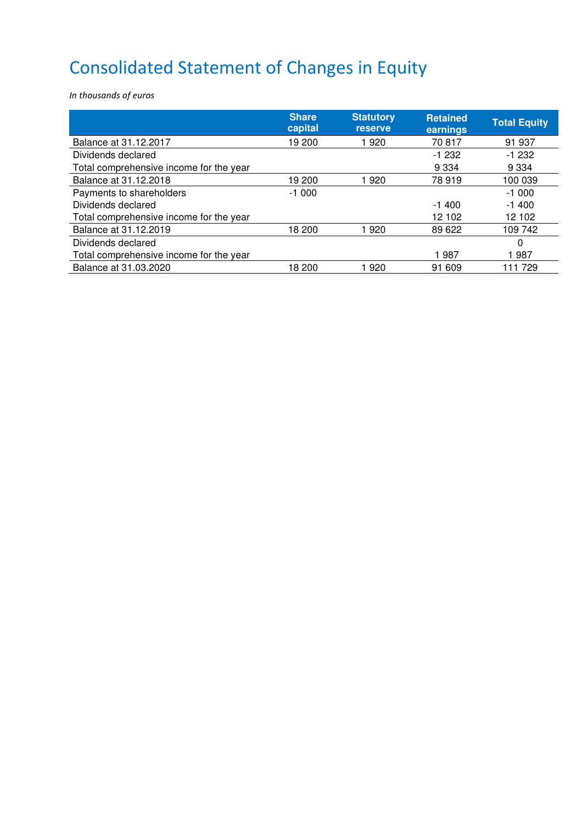# Consolidated Statement of Changes in Equity

*In thousands of euros* 

|                                         | <b>Share</b><br>capital | <b>Statutory</b><br><b>reserve</b> | <b>Retained</b><br>earnings | <b>Total Equity</b> |
|-----------------------------------------|-------------------------|------------------------------------|-----------------------------|---------------------|
| Balance at 31.12.2017                   | 19 200                  | 1920                               | 70817                       | 91 937              |
| Dividends declared                      |                         |                                    | $-1232$                     | $-1232$             |
| Total comprehensive income for the year |                         |                                    | 9 3 3 4                     | 9 3 3 4             |
| Balance at 31.12.2018                   | 19 200                  | 1920                               | 78919                       | 100 039             |
| Payments to shareholders                | $-1000$                 |                                    |                             | $-1000$             |
| Dividends declared                      |                         |                                    | $-1400$                     | $-1400$             |
| Total comprehensive income for the year |                         |                                    | 12 102                      | 12 102              |
| Balance at 31.12.2019                   | 18 200                  | 1920                               | 89 622                      | 109 742             |
| Dividends declared                      |                         |                                    |                             | $\Omega$            |
| Total comprehensive income for the year |                         |                                    | 1987                        | 1987                |
| Balance at 31.03.2020                   | 18 200                  | 1920                               | 91 609                      | 11 729              |